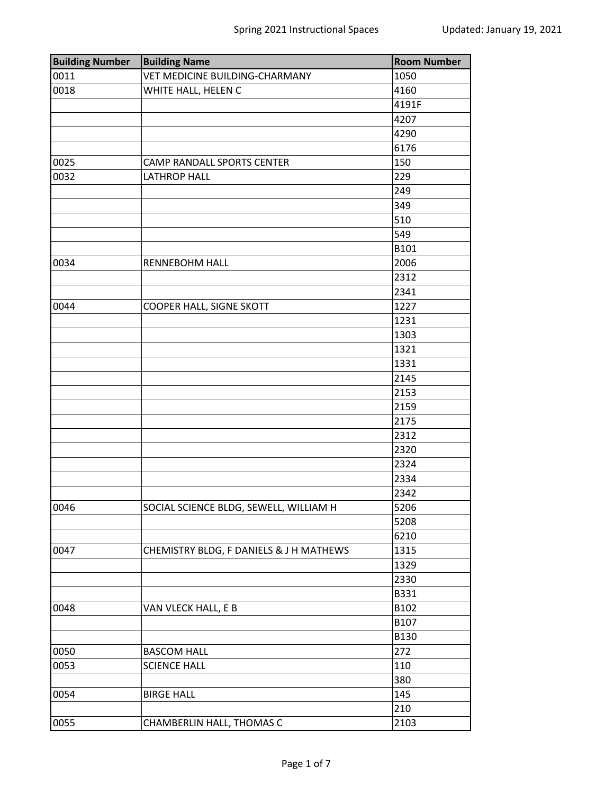| <b>Building Number</b> | <b>Building Name</b>                    | <b>Room Number</b> |
|------------------------|-----------------------------------------|--------------------|
| 0011                   | VET MEDICINE BUILDING-CHARMANY          | 1050               |
| 0018                   | WHITE HALL, HELEN C                     | 4160               |
|                        |                                         | 4191F              |
|                        |                                         | 4207               |
|                        |                                         | 4290               |
|                        |                                         | 6176               |
| 0025                   | <b>CAMP RANDALL SPORTS CENTER</b>       | 150                |
| 0032                   | <b>LATHROP HALL</b>                     | 229                |
|                        |                                         | 249                |
|                        |                                         | 349                |
|                        |                                         | 510                |
|                        |                                         | 549                |
|                        |                                         | B101               |
| 0034                   | <b>RENNEBOHM HALL</b>                   | 2006               |
|                        |                                         | 2312               |
|                        |                                         | 2341               |
| 0044                   | COOPER HALL, SIGNE SKOTT                | 1227               |
|                        |                                         | 1231               |
|                        |                                         | 1303               |
|                        |                                         | 1321               |
|                        |                                         | 1331               |
|                        |                                         | 2145               |
|                        |                                         | 2153               |
|                        |                                         | 2159               |
|                        |                                         | 2175               |
|                        |                                         | 2312               |
|                        |                                         | 2320               |
|                        |                                         | 2324               |
|                        |                                         | 2334               |
|                        |                                         | 2342               |
| 0046                   | SOCIAL SCIENCE BLDG, SEWELL, WILLIAM H  | 5206               |
|                        |                                         | 5208               |
|                        |                                         | 6210               |
| 0047                   | CHEMISTRY BLDG, F DANIELS & J H MATHEWS | 1315               |
|                        |                                         | 1329               |
|                        |                                         | 2330               |
|                        |                                         | B331               |
| 0048                   | VAN VLECK HALL, E B                     | B102               |
|                        |                                         | B107               |
|                        |                                         | <b>B130</b>        |
| 0050                   | <b>BASCOM HALL</b>                      | 272                |
| 0053                   | <b>SCIENCE HALL</b>                     | 110                |
|                        |                                         | 380                |
| 0054                   | <b>BIRGE HALL</b>                       | 145                |
|                        |                                         | 210                |
| 0055                   | CHAMBERLIN HALL, THOMAS C               | 2103               |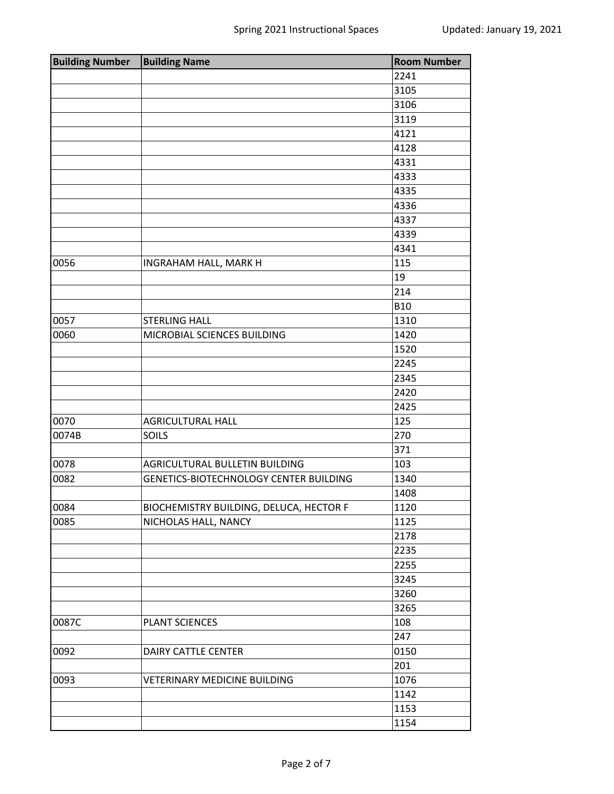| <b>Building Number</b> | <b>Building Name</b>                          | <b>Room Number</b> |
|------------------------|-----------------------------------------------|--------------------|
|                        |                                               | 2241               |
|                        |                                               | 3105               |
|                        |                                               | 3106               |
|                        |                                               | 3119               |
|                        |                                               | 4121               |
|                        |                                               | 4128               |
|                        |                                               | 4331               |
|                        |                                               | 4333               |
|                        |                                               | 4335               |
|                        |                                               | 4336               |
|                        |                                               | 4337               |
|                        |                                               | 4339               |
|                        |                                               | 4341               |
| 0056                   | INGRAHAM HALL, MARK H                         | 115                |
|                        |                                               | 19                 |
|                        |                                               | 214                |
|                        |                                               | <b>B10</b>         |
| 0057                   | <b>STERLING HALL</b>                          | 1310               |
| 0060                   | MICROBIAL SCIENCES BUILDING                   | 1420               |
|                        |                                               | 1520               |
|                        |                                               | 2245               |
|                        |                                               | 2345               |
|                        |                                               | 2420               |
|                        |                                               | 2425               |
| 0070                   | <b>AGRICULTURAL HALL</b>                      | 125                |
| 0074B                  | SOILS                                         | 270                |
|                        |                                               | 371                |
| 0078                   | AGRICULTURAL BULLETIN BUILDING                | 103                |
| 0082                   | <b>GENETICS-BIOTECHNOLOGY CENTER BUILDING</b> | 1340               |
|                        |                                               | 1408               |
| 0084                   | BIOCHEMISTRY BUILDING, DELUCA, HECTOR F       | 1120               |
| 0085                   | NICHOLAS HALL, NANCY                          | 1125               |
|                        |                                               | 2178               |
|                        |                                               | 2235               |
|                        |                                               | 2255               |
|                        |                                               | 3245               |
|                        |                                               | 3260               |
|                        |                                               | 3265               |
| 0087C                  | <b>PLANT SCIENCES</b>                         | 108                |
|                        |                                               | 247                |
| 0092                   | DAIRY CATTLE CENTER                           | 0150               |
|                        |                                               | 201                |
| 0093                   | <b>VETERINARY MEDICINE BUILDING</b>           | 1076               |
|                        |                                               | 1142               |
|                        |                                               | 1153               |
|                        |                                               | 1154               |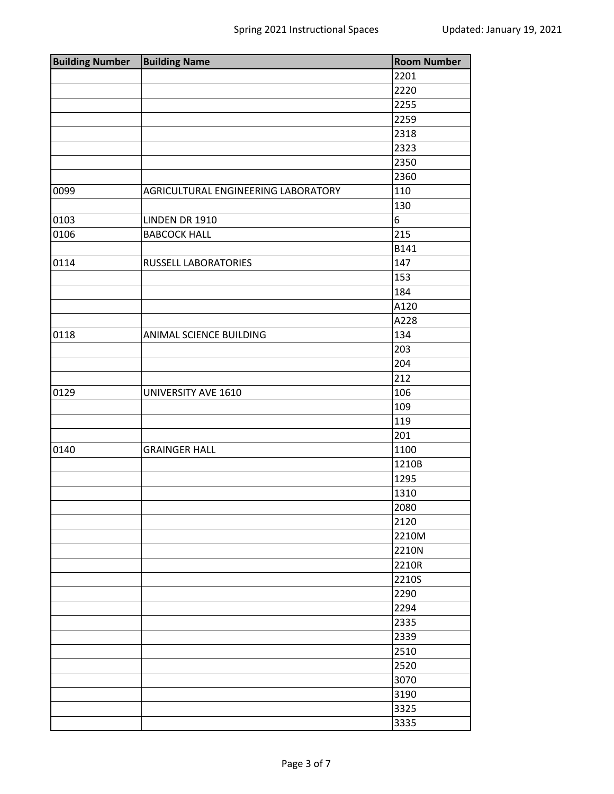| <b>Building Number</b> | <b>Building Name</b>                | <b>Room Number</b> |
|------------------------|-------------------------------------|--------------------|
|                        |                                     | 2201               |
|                        |                                     | 2220               |
|                        |                                     | 2255               |
|                        |                                     | 2259               |
|                        |                                     | 2318               |
|                        |                                     | 2323               |
|                        |                                     | 2350               |
|                        |                                     | 2360               |
| 0099                   | AGRICULTURAL ENGINEERING LABORATORY | 110                |
|                        |                                     | 130                |
| 0103                   | LINDEN DR 1910                      | 6                  |
| 0106                   | <b>BABCOCK HALL</b>                 | 215                |
|                        |                                     | B141               |
| 0114                   | RUSSELL LABORATORIES                | 147                |
|                        |                                     | 153                |
|                        |                                     | 184                |
|                        |                                     | A120               |
|                        |                                     | A228               |
| 0118                   | ANIMAL SCIENCE BUILDING             | 134                |
|                        |                                     | 203                |
|                        |                                     | 204                |
|                        |                                     | 212                |
| 0129                   | UNIVERSITY AVE 1610                 | 106                |
|                        |                                     | 109                |
|                        |                                     | 119                |
|                        |                                     | 201                |
| 0140                   | <b>GRAINGER HALL</b>                | 1100               |
|                        |                                     | 1210B              |
|                        |                                     | 1295               |
|                        |                                     | 1310               |
|                        |                                     | 2080               |
|                        |                                     | 2120               |
|                        |                                     | 2210M              |
|                        |                                     | 2210N              |
|                        |                                     | 2210R              |
|                        |                                     | 2210S              |
|                        |                                     | 2290               |
|                        |                                     | 2294               |
|                        |                                     | 2335               |
|                        |                                     | 2339               |
|                        |                                     | 2510               |
|                        |                                     | 2520               |
|                        |                                     | 3070               |
|                        |                                     | 3190               |
|                        |                                     | 3325               |
|                        |                                     | 3335               |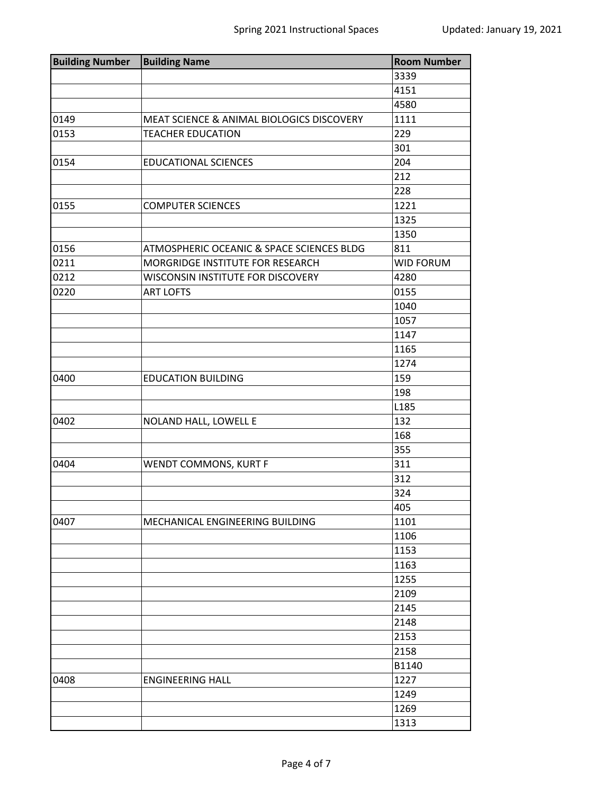| <b>Building Number   Building Name</b> |                                           | <b>Room Number</b> |
|----------------------------------------|-------------------------------------------|--------------------|
|                                        |                                           | 3339               |
|                                        |                                           | 4151               |
|                                        |                                           | 4580               |
| 0149                                   | MEAT SCIENCE & ANIMAL BIOLOGICS DISCOVERY | 1111               |
| 0153                                   | <b>TEACHER EDUCATION</b>                  | 229                |
|                                        |                                           | 301                |
| 0154                                   | <b>EDUCATIONAL SCIENCES</b>               | 204                |
|                                        |                                           | 212                |
|                                        |                                           | 228                |
| 0155                                   | <b>COMPUTER SCIENCES</b>                  | 1221               |
|                                        |                                           | 1325               |
|                                        |                                           | 1350               |
| 0156                                   | ATMOSPHERIC OCEANIC & SPACE SCIENCES BLDG | 811                |
| 0211                                   | MORGRIDGE INSTITUTE FOR RESEARCH          | <b>WID FORUM</b>   |
| 0212                                   | WISCONSIN INSTITUTE FOR DISCOVERY         | 4280               |
| 0220                                   | <b>ART LOFTS</b>                          | 0155               |
|                                        |                                           | 1040               |
|                                        |                                           | 1057               |
|                                        |                                           | 1147               |
|                                        |                                           | 1165               |
|                                        |                                           | 1274               |
| 0400                                   | <b>EDUCATION BUILDING</b>                 | 159                |
|                                        |                                           | 198                |
|                                        |                                           | L185               |
| 0402                                   | NOLAND HALL, LOWELL E                     | 132                |
|                                        |                                           | 168                |
|                                        |                                           | 355                |
| 0404                                   | WENDT COMMONS, KURT F                     | 311                |
|                                        |                                           | 312                |
|                                        |                                           | 324                |
|                                        |                                           | 405                |
| 0407                                   | MECHANICAL ENGINEERING BUILDING           | 1101               |
|                                        |                                           | 1106               |
|                                        |                                           | 1153               |
|                                        |                                           | 1163               |
|                                        |                                           | 1255               |
|                                        |                                           | 2109               |
|                                        |                                           | 2145               |
|                                        |                                           | 2148               |
|                                        |                                           | 2153               |
|                                        |                                           | 2158               |
|                                        |                                           | B1140              |
| 0408                                   | <b>ENGINEERING HALL</b>                   | 1227               |
|                                        |                                           | 1249               |
|                                        |                                           | 1269               |
|                                        |                                           | 1313               |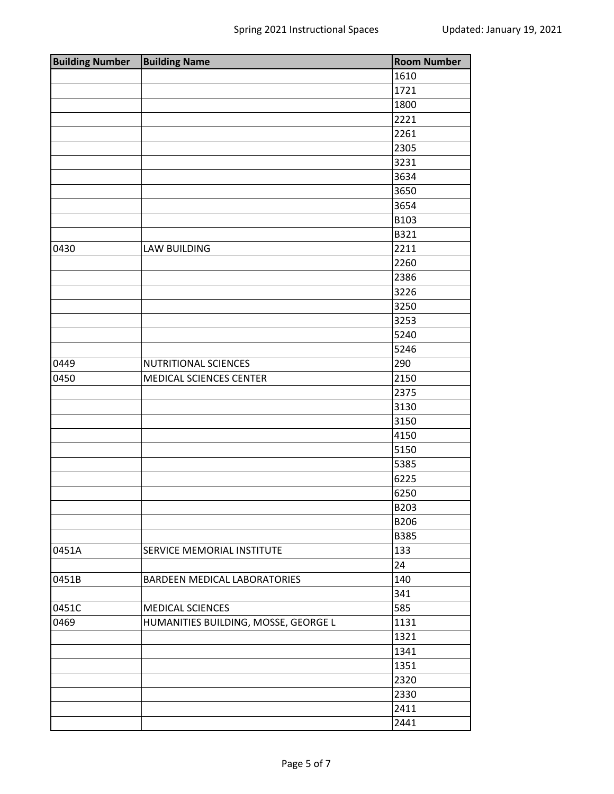| <b>Building Number</b> | <b>Building Name</b>                 | <b>Room Number</b> |
|------------------------|--------------------------------------|--------------------|
|                        |                                      | 1610               |
|                        |                                      | 1721               |
|                        |                                      | 1800               |
|                        |                                      | 2221               |
|                        |                                      | 2261               |
|                        |                                      | 2305               |
|                        |                                      | 3231               |
|                        |                                      | 3634               |
|                        |                                      | 3650               |
|                        |                                      | 3654               |
|                        |                                      | B103               |
|                        |                                      | B321               |
| 0430                   | <b>LAW BUILDING</b>                  | 2211               |
|                        |                                      | 2260               |
|                        |                                      | 2386               |
|                        |                                      | 3226               |
|                        |                                      | 3250               |
|                        |                                      | 3253               |
|                        |                                      | 5240               |
|                        |                                      | 5246               |
| 0449                   | NUTRITIONAL SCIENCES                 | 290                |
| 0450                   | MEDICAL SCIENCES CENTER              | 2150               |
|                        |                                      | 2375               |
|                        |                                      | 3130               |
|                        |                                      | 3150               |
|                        |                                      | 4150               |
|                        |                                      | 5150               |
|                        |                                      | 5385               |
|                        |                                      | 6225               |
|                        |                                      | 6250               |
|                        |                                      | B203               |
|                        |                                      | B206               |
|                        |                                      | B385               |
| 0451A                  | SERVICE MEMORIAL INSTITUTE           | 133                |
|                        |                                      | 24                 |
| 0451B                  | BARDEEN MEDICAL LABORATORIES         | 140                |
|                        |                                      | 341                |
| 0451C                  | MEDICAL SCIENCES                     | 585                |
| 0469                   | HUMANITIES BUILDING, MOSSE, GEORGE L | 1131               |
|                        |                                      | 1321               |
|                        |                                      | 1341               |
|                        |                                      | 1351               |
|                        |                                      | 2320               |
|                        |                                      | 2330               |
|                        |                                      | 2411               |
|                        |                                      | 2441               |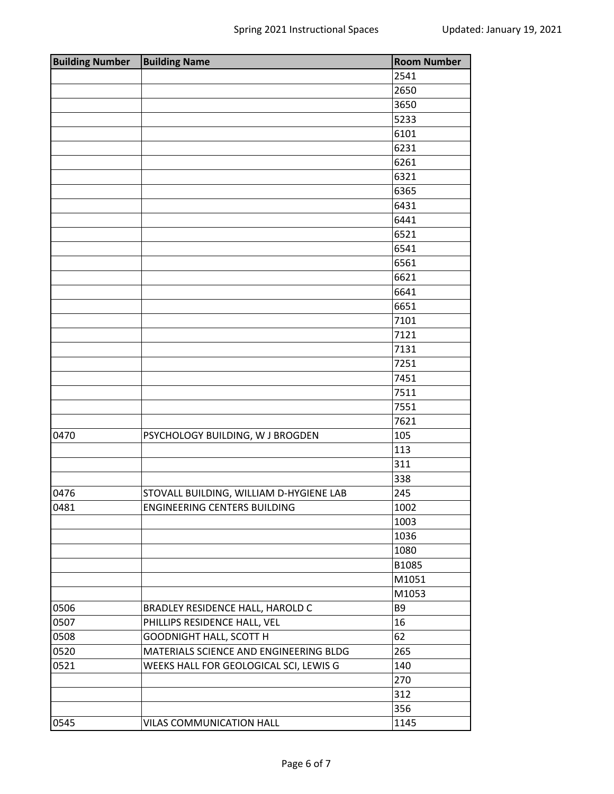| <b>Building Number</b> | <b>Building Name</b>                    | <b>Room Number</b> |
|------------------------|-----------------------------------------|--------------------|
|                        |                                         | 2541               |
|                        |                                         | 2650               |
|                        |                                         | 3650               |
|                        |                                         | 5233               |
|                        |                                         | 6101               |
|                        |                                         | 6231               |
|                        |                                         | 6261               |
|                        |                                         | 6321               |
|                        |                                         | 6365               |
|                        |                                         | 6431               |
|                        |                                         | 6441               |
|                        |                                         | 6521               |
|                        |                                         | 6541               |
|                        |                                         | 6561               |
|                        |                                         | 6621               |
|                        |                                         | 6641               |
|                        |                                         | 6651               |
|                        |                                         | 7101               |
|                        |                                         | 7121               |
|                        |                                         | 7131               |
|                        |                                         | 7251               |
|                        |                                         | 7451               |
|                        |                                         | 7511               |
|                        |                                         | 7551               |
|                        |                                         | 7621               |
| 0470                   | PSYCHOLOGY BUILDING, W J BROGDEN        | 105                |
|                        |                                         | 113                |
|                        |                                         | 311                |
|                        |                                         | 338                |
| 0476                   | STOVALL BUILDING, WILLIAM D-HYGIENE LAB | 245                |
| 0481                   | <b>ENGINEERING CENTERS BUILDING</b>     | 1002               |
|                        |                                         | 1003               |
|                        |                                         | 1036               |
|                        |                                         | 1080               |
|                        |                                         | B1085              |
|                        |                                         | M1051              |
|                        |                                         | M1053              |
| 0506                   | BRADLEY RESIDENCE HALL, HAROLD C        | B <sub>9</sub>     |
| 0507                   | PHILLIPS RESIDENCE HALL, VEL            | 16                 |
| 0508                   | <b>GOODNIGHT HALL, SCOTT H</b>          | 62                 |
| 0520                   | MATERIALS SCIENCE AND ENGINEERING BLDG  | 265                |
| 0521                   | WEEKS HALL FOR GEOLOGICAL SCI, LEWIS G  | 140                |
|                        |                                         | 270                |
|                        |                                         | 312                |
|                        |                                         | 356                |
| 0545                   | VILAS COMMUNICATION HALL                | 1145               |